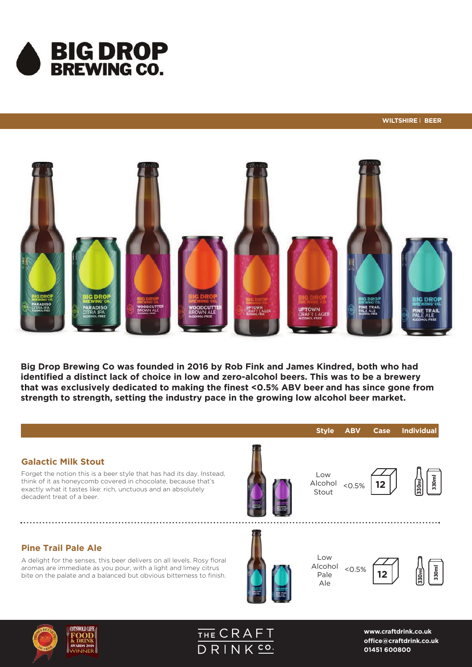



Big Drop Brewing Co was founded in 2016 by Rob Fink and James Kindred, both who had identified a distinct lack of choice in low and zero-alcohol beers. This was to be a brewery that was exclusively dedicated to making the finest <0.5% ABV beer and has since gone from strength to strength, setting the industry pace in the growing low alcohol beer market.

#### **Galactic Milk Stout**

Forget the notion this is a beer style that has had its day. Instead, think of it as honeycomb covered in chocolate, because that's exactly what it tastes like: rich, unctuous and an absolutely decadent treat of a beer.

### **Pine Trail Pale Ale**

A delight for the senses, this beer delivers on all levels. Rosy floral aromas are immediate as you pour, with a light and limey citrus bite on the palate and a balanced but obvious bitterness to finish.



Low Alcohol Stout

 $< 0.5%$ 



**Style ABV Case Individual**



Low Alcohol Pale  $50.5%$ 

Ale



**12**

**330ml**

330ml





**www.craftdrink.co.uk office@craftdrink.co.uk**